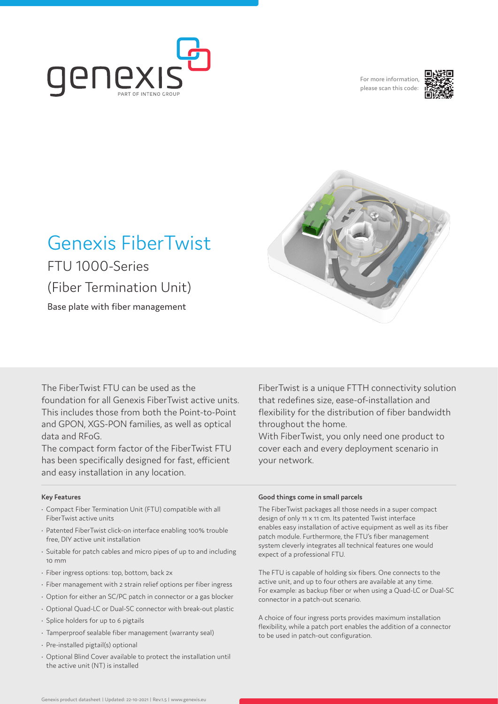

For more information please scan this code:





# Genexis FiberTwist

FTU 1000-Series (Fiber Termination Unit) Base plate with fiber management

The FiberTwist FTU can be used as the foundation for all Genexis FiberTwist active units. This includes those from both the Point-to-Point and GPON, XGS-PON families, as well as optical data and RFoG.

The compact form factor of the FiberTwist FTU has been specifically designed for fast, efficient and easy installation in any location.

# **Key Features**

- Compact Fiber Termination Unit (FTU) compatible with all FiberTwist active units
- Patented FiberTwist click-on interface enabling 100% trouble free, DIY active unit installation
- Suitable for patch cables and micro pipes of up to and including 10 mm
- Fiber ingress options: top, bottom, back 2x
- Fiber management with 2 strain relief options per fiber ingress
- Option for either an SC/PC patch in connector or a gas blocker
- Optional Quad-LC or Dual-SC connector with break-out plastic
- Splice holders for up to 6 pigtails
- Tamperproof sealable fiber management (warranty seal)
- Pre-installed pigtail(s) optional
- Optional Blind Cover available to protect the installation until the active unit (NT) is installed

FiberTwist is a unique FTTH connectivity solution that redefines size, ease-of-installation and flexibility for the distribution of fiber bandwidth throughout the home.

With FiberTwist, you only need one product to cover each and every deployment scenario in your network.

### **Good things come in small parcels**

The FiberTwist packages all those needs in a super compact design of only 11 x 11 cm. Its patented Twist interface enables easy installation of active equipment as well as its fiber patch module. Furthermore, the FTU's fiber management system cleverly integrates all technical features one would expect of a professional FTU.

The FTU is capable of holding six fibers. One connects to the active unit, and up to four others are available at any time. For example: as backup fiber or when using a Quad-LC or Dual-SC connector in a patch-out scenario.

A choice of four ingress ports provides maximum installation flexibility, while a patch port enables the addition of a connector to be used in patch-out configuration.